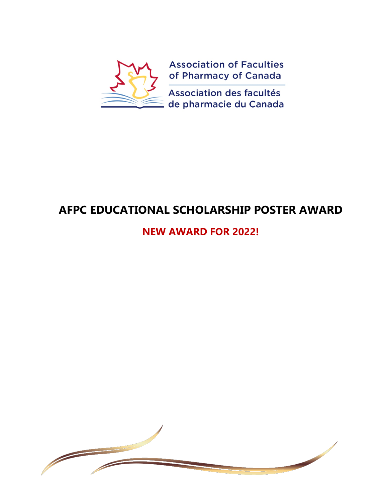

# **AFPC EDUCATIONAL SCHOLARSHIP POSTER AWARD**

**NEW AWARD FOR 2022!**

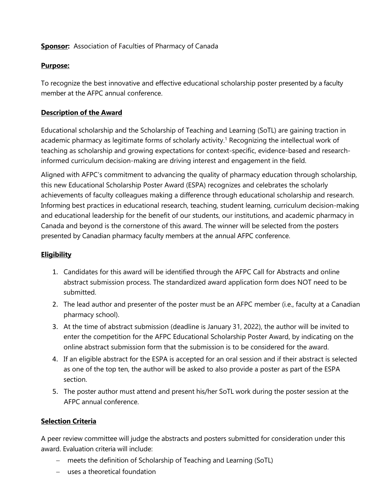# **Sponsor:** Association of Faculties of Pharmacy of Canada

### **Purpose:**

To recognize the best innovative and effective educational scholarship poster presented by a faculty member at the AFPC annual conference.

# **Description of the Award**

Educational scholarship and the Scholarship of Teaching and Learning (SoTL) are gaining traction in academic pharmacy as legitimate forms of scholarly activity.<sup>1</sup> Recognizing the intellectual work of teaching as scholarship and growing expectations for context-specific, evidence-based and researchinformed curriculum decision-making are driving interest and engagement in the field.

Aligned with AFPC's commitment to advancing the quality of pharmacy education through scholarship, this new Educational Scholarship Poster Award (ESPA) recognizes and celebrates the scholarly achievements of faculty colleagues making a difference through educational scholarship and research. Informing best practices in educational research, teaching, student learning, curriculum decision-making and educational leadership for the benefit of our students, our institutions, and academic pharmacy in Canada and beyond is the cornerstone of this award. The winner will be selected from the posters presented by Canadian pharmacy faculty members at the annual AFPC conference.

# **Eligibility**

- 1. Candidates for this award will be identified through the AFPC Call for Abstracts and online abstract submission process. The standardized award application form does NOT need to be submitted.
- 2. The lead author and presenter of the poster must be an AFPC member (i.e., faculty at a Canadian pharmacy school).
- 3. At the time of abstract submission (deadline is January 31, 2022), the author will be invited to enter the competition for the AFPC Educational Scholarship Poster Award, by indicating on the online abstract submission form that the submission is to be considered for the award.
- 4. If an eligible abstract for the ESPA is accepted for an oral session and if their abstract is selected as one of the top ten, the author will be asked to also provide a poster as part of the ESPA section.
- 5. The poster author must attend and present his/her SoTL work during the poster session at the AFPC annual conference.

### **Selection Criteria**

A peer review committee will judge the abstracts and posters submitted for consideration under this award. Evaluation criteria will include:

- − meets the definition of Scholarship of Teaching and Learning (SoTL)
- − uses a theoretical foundation